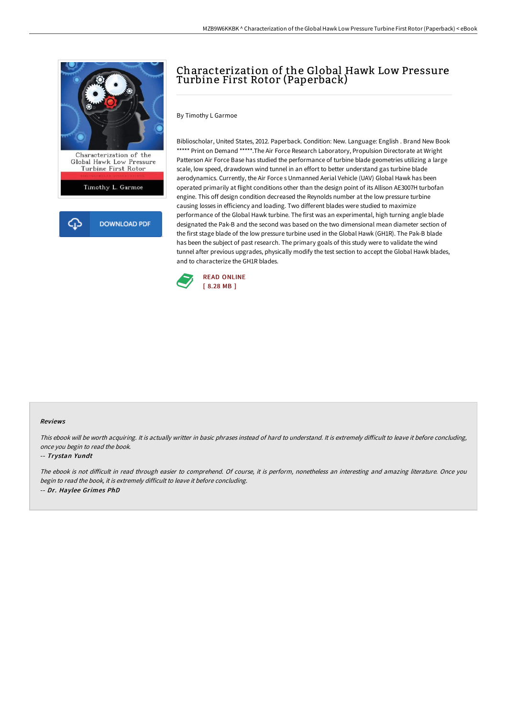

# Characterization of the Global Hawk Low Pressure Turbine First Rotor (Paperback)

By Timothy L Garmoe

Biblioscholar, United States, 2012. Paperback. Condition: New. Language: English . Brand New Book \*\*\*\*\* Print on Demand \*\*\*\*\*. The Air Force Research Laboratory, Propulsion Directorate at Wright Patterson Air Force Base has studied the performance of turbine blade geometries utilizing a large scale, low speed, drawdown wind tunnel in an effort to better understand gas turbine blade aerodynamics. Currently, the Air Force s Unmanned Aerial Vehicle (UAV) Global Hawk has been operated primarily at flight conditions other than the design point of its Allison AE3007H turbofan engine. This off design condition decreased the Reynolds number at the low pressure turbine causing losses in efficiency and loading. Two different blades were studied to maximize performance of the Global Hawk turbine. The first was an experimental, high turning angle blade designated the Pak-B and the second was based on the two dimensional mean diameter section of the first stage blade of the low pressure turbine used in the Global Hawk (GH1R). The Pak-B blade has been the subject of past research. The primary goals of this study were to validate the wind tunnel after previous upgrades, physically modify the test section to accept the Global Hawk blades, and to characterize the GH1R blades.



#### Reviews

This ebook will be worth acquiring. It is actually writter in basic phrases instead of hard to understand. It is extremely difficult to leave it before concluding, once you begin to read the book.

### -- Trystan Yundt

The ebook is not difficult in read through easier to comprehend. Of course, it is perform, nonetheless an interesting and amazing literature. Once you begin to read the book, it is extremely difficult to leave it before concluding. -- Dr. Haylee Grimes PhD